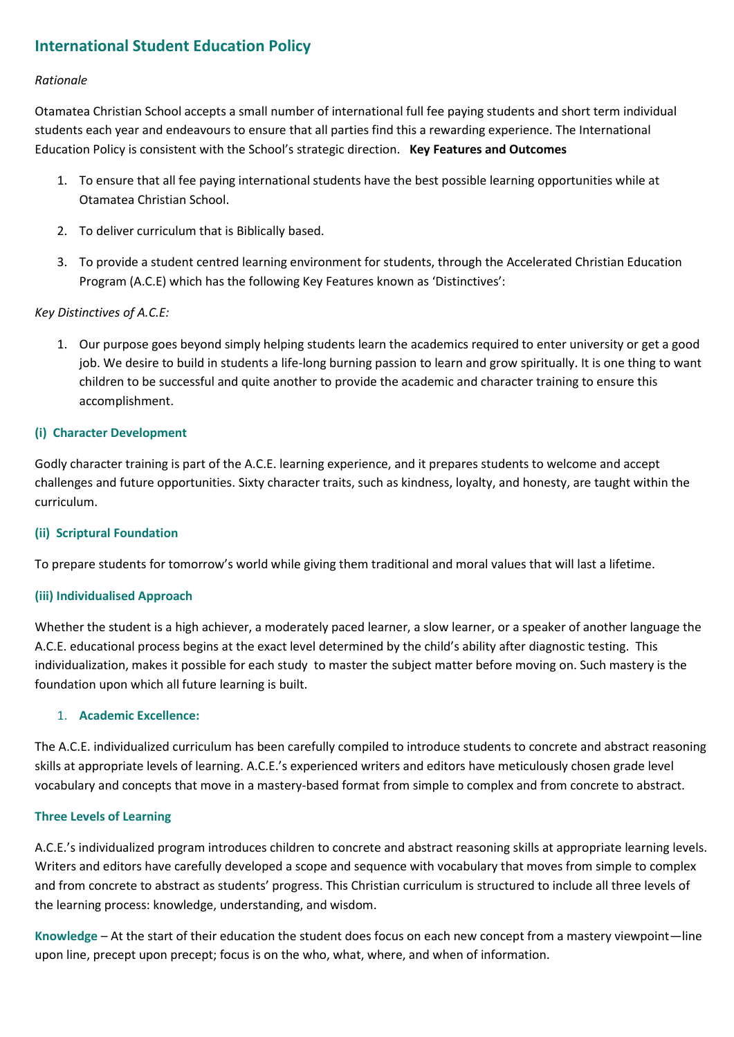# **International Student Education Policy**

# *Rationale*

Otamatea Christian School accepts a small number of international full fee paying students and short term individual students each year and endeavours to ensure that all parties find this a rewarding experience. The International Education Policy is consistent with the School's strategic direction. **Key Features and Outcomes**

- 1. To ensure that all fee paying international students have the best possible learning opportunities while at Otamatea Christian School.
- 2. To deliver curriculum that is Biblically based.
- 3. To provide a student centred learning environment for students, through the Accelerated Christian Education Program (A.C.E) which has the following Key Features known as 'Distinctives':

# *Key Distinctives of A.C.E:*

1. Our purpose goes beyond simply helping students learn the academics required to enter university or get a good job. We desire to build in students a life-long burning passion to learn and grow spiritually. It is one thing to want children to be successful and quite another to provide the academic and character training to ensure this accomplishment.

# **(i) Character Development**

Godly character training is part of the A.C.E. learning experience, and it prepares students to welcome and accept challenges and future opportunities. Sixty character traits, such as kindness, loyalty, and honesty, are taught within the curriculum.

### **(ii) Scriptural Foundation**

To prepare students for tomorrow's world while giving them traditional and moral values that will last a lifetime.

### **(iii) Individualised Approach**

Whether the student is a high achiever, a moderately paced learner, a slow learner, or a speaker of another language the A.C.E. educational process begins at the exact level determined by the child's ability after diagnostic testing. This individualization, makes it possible for each study to master the subject matter before moving on. Such mastery is the foundation upon which all future learning is built.

### 1. **Academic Excellence:**

The A.C.E. individualized curriculum has been carefully compiled to introduce students to concrete and abstract reasoning skills at appropriate levels of learning. A.C.E.'s experienced writers and editors have meticulously chosen grade level vocabulary and concepts that move in a mastery-based format from simple to complex and from concrete to abstract.

### **Three Levels of Learning**

A.C.E.'s individualized program introduces children to concrete and abstract reasoning skills at appropriate learning levels. Writers and editors have carefully developed a scope and sequence with vocabulary that moves from simple to complex and from concrete to abstract as students' progress. This Christian curriculum is structured to include all three levels of the learning process: knowledge, understanding, and wisdom.

**Knowledge** – At the start of their education the student does focus on each new concept from a mastery viewpoint—line upon line, precept upon precept; focus is on the who, what, where, and when of information.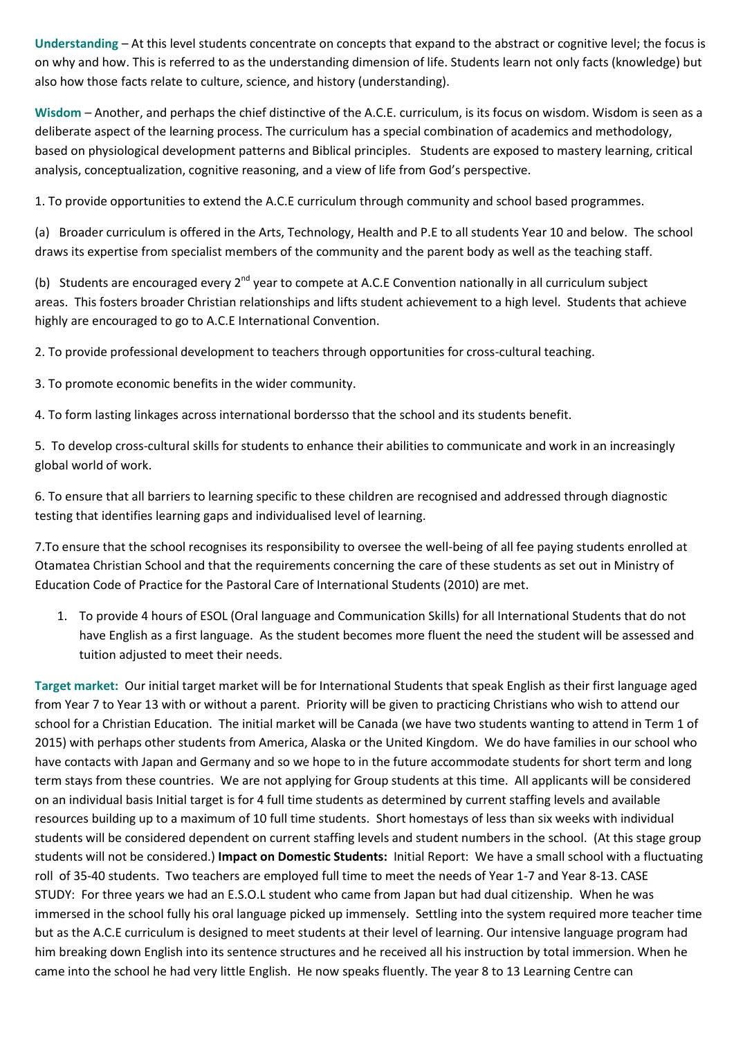**Understanding** – At this level students concentrate on concepts that expand to the abstract or cognitive level; the focus is on why and how. This is referred to as the understanding dimension of life. Students learn not only facts (knowledge) but also how those facts relate to culture, science, and history (understanding).

**Wisdom** – Another, and perhaps the chief distinctive of the A.C.E. curriculum, is its focus on wisdom. Wisdom is seen as a deliberate aspect of the learning process. The curriculum has a special combination of academics and methodology, based on physiological development patterns and Biblical principles. Students are exposed to mastery learning, critical analysis, conceptualization, cognitive reasoning, and a view of life from God's perspective.

1. To provide opportunities to extend the A.C.E curriculum through community and school based programmes.

(a) Broader curriculum is offered in the Arts, Technology, Health and P.E to all students Year 10 and below. The school draws its expertise from specialist members of the community and the parent body as well as the teaching staff.

(b) Students are encouraged every  $2^{nd}$  year to compete at A.C.E Convention nationally in all curriculum subject areas. This fosters broader Christian relationships and lifts student achievement to a high level. Students that achieve highly are encouraged to go to A.C.E International Convention.

2. To provide professional development to teachers through opportunities for cross-cultural teaching.

3. To promote economic benefits in the wider community.

4. To form lasting linkages across international bordersso that the school and its students benefit.

5. To develop cross-cultural skills for students to enhance their abilities to communicate and work in an increasingly global world of work.

6. To ensure that all barriers to learning specific to these children are recognised and addressed through diagnostic testing that identifies learning gaps and individualised level of learning.

7.To ensure that the school recognises its responsibility to oversee the well-being of all fee paying students enrolled at Otamatea Christian School and that the requirements concerning the care of these students as set out in Ministry of Education Code of Practice for the Pastoral Care of International Students (2010) are met.

1. To provide 4 hours of ESOL (Oral language and Communication Skills) for all International Students that do not have English as a first language. As the student becomes more fluent the need the student will be assessed and tuition adjusted to meet their needs.

**Target market:** Our initial target market will be for International Students that speak English as their first language aged from Year 7 to Year 13 with or without a parent. Priority will be given to practicing Christians who wish to attend our school for a Christian Education. The initial market will be Canada (we have two students wanting to attend in Term 1 of 2015) with perhaps other students from America, Alaska or the United Kingdom. We do have families in our school who have contacts with Japan and Germany and so we hope to in the future accommodate students for short term and long term stays from these countries. We are not applying for Group students at this time. All applicants will be considered on an individual basis Initial target is for 4 full time students as determined by current staffing levels and available resources building up to a maximum of 10 full time students. Short homestays of less than six weeks with individual students will be considered dependent on current staffing levels and student numbers in the school. (At this stage group students will not be considered.) **Impact on Domestic Students:** Initial Report: We have a small school with a fluctuating roll of 35-40 students. Two teachers are employed full time to meet the needs of Year 1-7 and Year 8-13. CASE STUDY: For three years we had an E.S.O.L student who came from Japan but had dual citizenship. When he was immersed in the school fully his oral language picked up immensely. Settling into the system required more teacher time but as the A.C.E curriculum is designed to meet students at their level of learning. Our intensive language program had him breaking down English into its sentence structures and he received all his instruction by total immersion. When he came into the school he had very little English. He now speaks fluently. The year 8 to 13 Learning Centre can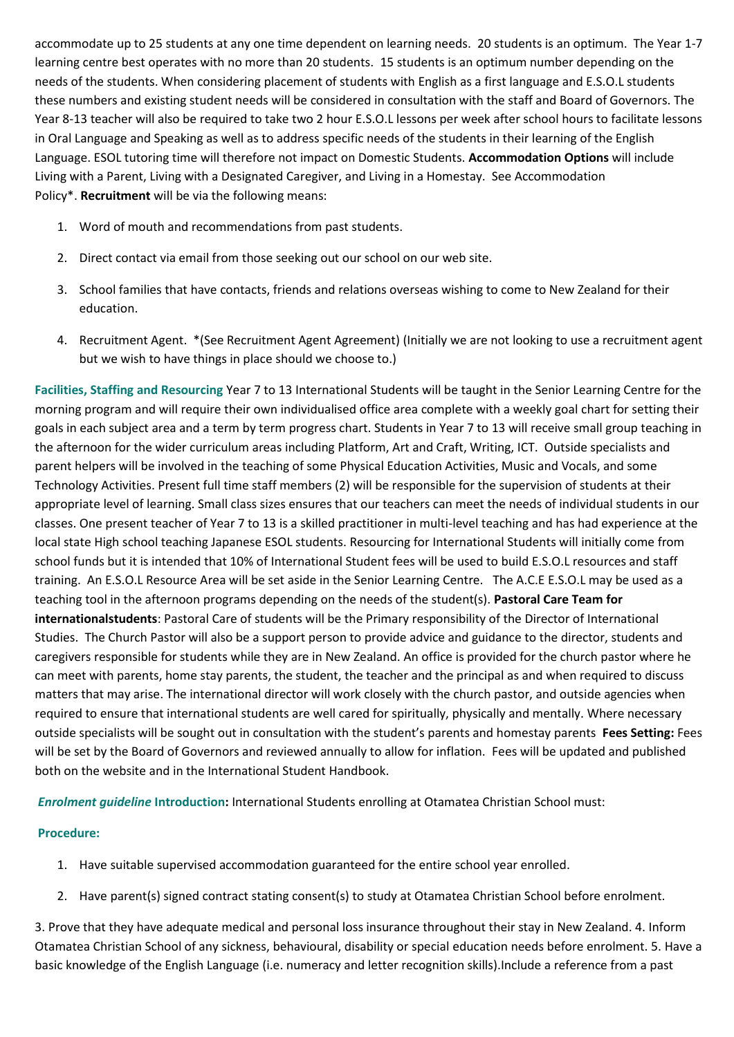accommodate up to 25 students at any one time dependent on learning needs. 20 students is an optimum. The Year 1-7 learning centre best operates with no more than 20 students. 15 students is an optimum number depending on the needs of the students. When considering placement of students with English as a first language and E.S.O.L students these numbers and existing student needs will be considered in consultation with the staff and Board of Governors. The Year 8-13 teacher will also be required to take two 2 hour E.S.O.L lessons per week after school hours to facilitate lessons in Oral Language and Speaking as well as to address specific needs of the students in their learning of the English Language. ESOL tutoring time will therefore not impact on Domestic Students. **Accommodation Options** will include Living with a Parent, Living with a Designated Caregiver, and Living in a Homestay. See Accommodation Policy\*. **Recruitment** will be via the following means:

- 1. Word of mouth and recommendations from past students.
- 2. Direct contact via email from those seeking out our school on our web site.
- 3. School families that have contacts, friends and relations overseas wishing to come to New Zealand for their education.
- 4. Recruitment Agent. \*(See Recruitment Agent Agreement) (Initially we are not looking to use a recruitment agent but we wish to have things in place should we choose to.)

**Facilities, Staffing and Resourcing** Year 7 to 13 International Students will be taught in the Senior Learning Centre for the morning program and will require their own individualised office area complete with a weekly goal chart for setting their goals in each subject area and a term by term progress chart. Students in Year 7 to 13 will receive small group teaching in the afternoon for the wider curriculum areas including Platform, Art and Craft, Writing, ICT. Outside specialists and parent helpers will be involved in the teaching of some Physical Education Activities, Music and Vocals, and some Technology Activities. Present full time staff members (2) will be responsible for the supervision of students at their appropriate level of learning. Small class sizes ensures that our teachers can meet the needs of individual students in our classes. One present teacher of Year 7 to 13 is a skilled practitioner in multi-level teaching and has had experience at the local state High school teaching Japanese ESOL students. Resourcing for International Students will initially come from school funds but it is intended that 10% of International Student fees will be used to build E.S.O.L resources and staff training. An E.S.O.L Resource Area will be set aside in the Senior Learning Centre. The A.C.E E.S.O.L may be used as a teaching tool in the afternoon programs depending on the needs of the student(s). **Pastoral Care Team for internationalstudents**: Pastoral Care of students will be the Primary responsibility of the Director of International Studies. The Church Pastor will also be a support person to provide advice and guidance to the director, students and caregivers responsible for students while they are in New Zealand. An office is provided for the church pastor where he can meet with parents, home stay parents, the student, the teacher and the principal as and when required to discuss matters that may arise. The international director will work closely with the church pastor, and outside agencies when required to ensure that international students are well cared for spiritually, physically and mentally. Where necessary outside specialists will be sought out in consultation with the student's parents and homestay parents **Fees Setting:** Fees will be set by the Board of Governors and reviewed annually to allow for inflation. Fees will be updated and published both on the website and in the International Student Handbook.

*Enrolment guideline* **Introduction:** International Students enrolling at Otamatea Christian School must:

# **Procedure:**

- 1. Have suitable supervised accommodation guaranteed for the entire school year enrolled.
- 2. Have parent(s) signed contract stating consent(s) to study at Otamatea Christian School before enrolment.

3. Prove that they have adequate medical and personal loss insurance throughout their stay in New Zealand. 4. Inform Otamatea Christian School of any sickness, behavioural, disability or special education needs before enrolment. 5. Have a basic knowledge of the English Language (i.e. numeracy and letter recognition skills).Include a reference from a past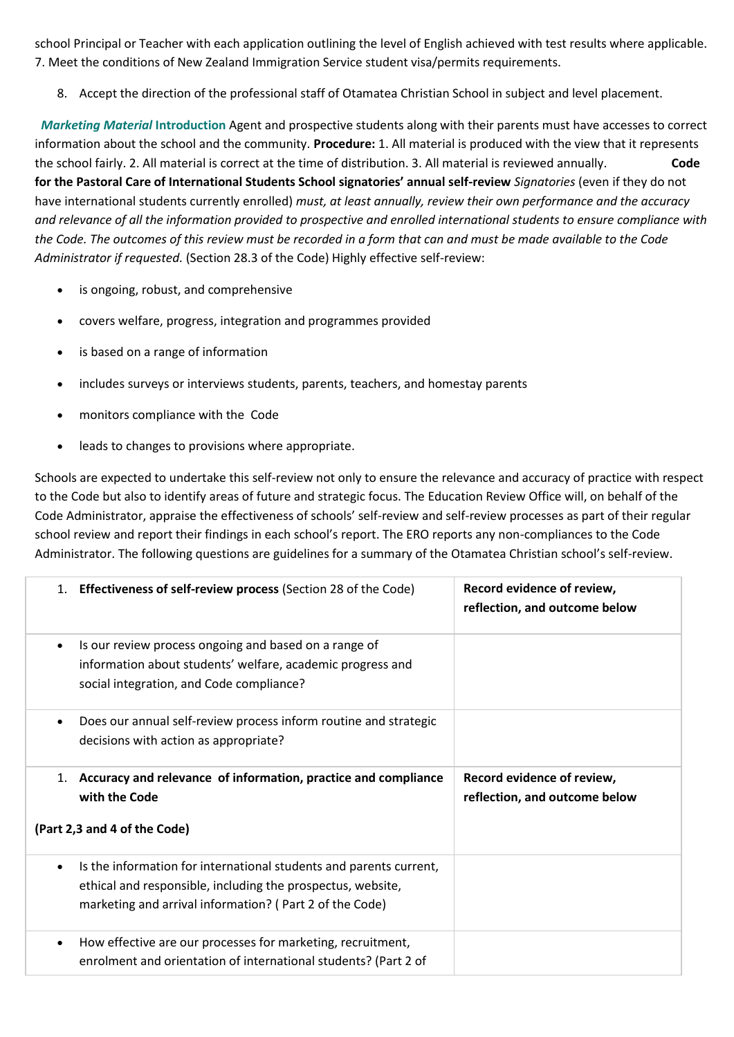school Principal or Teacher with each application outlining the level of English achieved with test results where applicable. 7. Meet the conditions of New Zealand Immigration Service student visa/permits requirements.

8. Accept the direction of the professional staff of Otamatea Christian School in subject and level placement.

*Marketing Material* **Introduction** Agent and prospective students along with their parents must have accesses to correct information about the school and the community. **Procedure:** 1. All material is produced with the view that it represents the school fairly. 2. All material is correct at the time of distribution. 3. All material is reviewed annually. **Code for the Pastoral Care of International Students School signatories' annual self-review** *Signatories* (even if they do not have international students currently enrolled) *must, at least annually, review their own performance and the accuracy and relevance of all the information provided to prospective and enrolled international students to ensure compliance with the Code. The outcomes of this review must be recorded in a form that can and must be made available to the Code Administrator if requested.* (Section 28.3 of the Code) Highly effective self-review:

- is ongoing, robust, and comprehensive
- covers welfare, progress, integration and programmes provided
- is based on a range of information
- includes surveys or interviews students, parents, teachers, and homestay parents
- monitors compliance with the Code
- leads to changes to provisions where appropriate.

Schools are expected to undertake this self-review not only to ensure the relevance and accuracy of practice with respect to the Code but also to identify areas of future and strategic focus. The Education Review Office will, on behalf of the Code Administrator, appraise the effectiveness of schools' self-review and self-review processes as part of their regular school review and report their findings in each school's report. The ERO reports any non-compliances to the Code Administrator. The following questions are guidelines for a summary of the Otamatea Christian school's self-review.

|                              | 1. Effectiveness of self-review process (Section 28 of the Code)                                                                                                                             | Record evidence of review,<br>reflection, and outcome below |
|------------------------------|----------------------------------------------------------------------------------------------------------------------------------------------------------------------------------------------|-------------------------------------------------------------|
| $\bullet$                    | Is our review process ongoing and based on a range of<br>information about students' welfare, academic progress and<br>social integration, and Code compliance?                              |                                                             |
|                              | Does our annual self-review process inform routine and strategic<br>decisions with action as appropriate?                                                                                    |                                                             |
| 1.                           | Accuracy and relevance of information, practice and compliance<br>with the Code                                                                                                              | Record evidence of review,<br>reflection, and outcome below |
| (Part 2,3 and 4 of the Code) |                                                                                                                                                                                              |                                                             |
| $\bullet$                    | Is the information for international students and parents current,<br>ethical and responsible, including the prospectus, website,<br>marketing and arrival information? (Part 2 of the Code) |                                                             |
| $\bullet$                    | How effective are our processes for marketing, recruitment,<br>enrolment and orientation of international students? (Part 2 of                                                               |                                                             |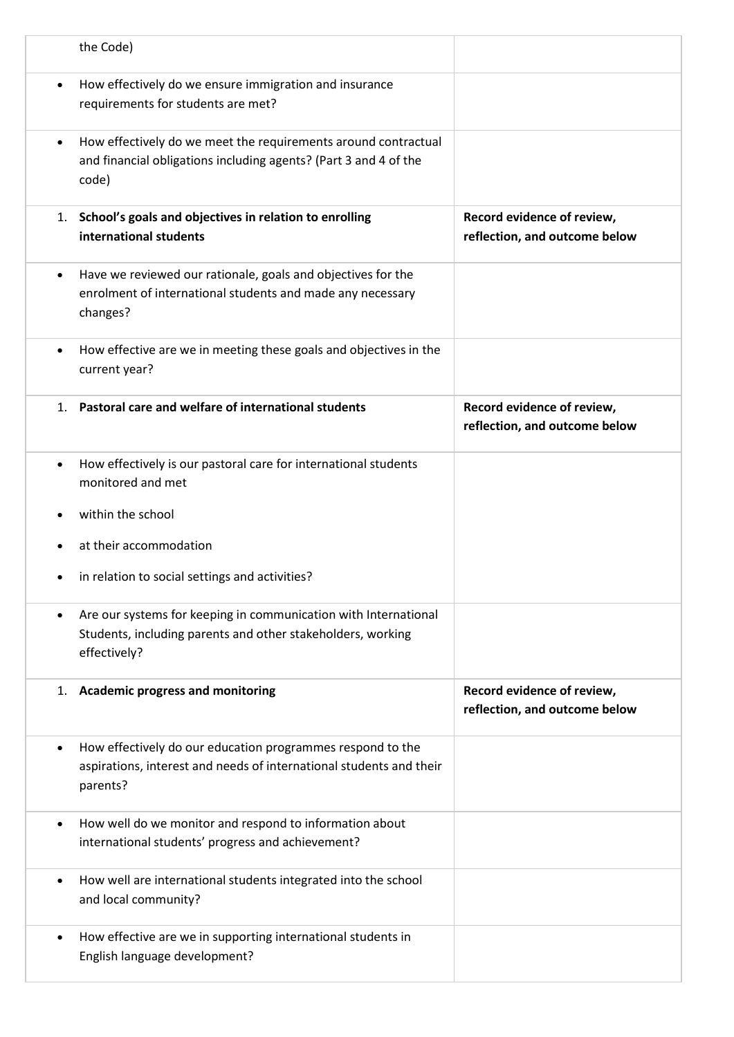|           | the Code)                                                                                                                                      |                                                             |
|-----------|------------------------------------------------------------------------------------------------------------------------------------------------|-------------------------------------------------------------|
| $\bullet$ | How effectively do we ensure immigration and insurance<br>requirements for students are met?                                                   |                                                             |
| $\bullet$ | How effectively do we meet the requirements around contractual<br>and financial obligations including agents? (Part 3 and 4 of the<br>code)    |                                                             |
| 1.        | School's goals and objectives in relation to enrolling<br>international students                                                               | Record evidence of review,<br>reflection, and outcome below |
| $\bullet$ | Have we reviewed our rationale, goals and objectives for the<br>enrolment of international students and made any necessary<br>changes?         |                                                             |
| $\bullet$ | How effective are we in meeting these goals and objectives in the<br>current year?                                                             |                                                             |
| 1.        | Pastoral care and welfare of international students                                                                                            | Record evidence of review,<br>reflection, and outcome below |
| $\bullet$ | How effectively is our pastoral care for international students<br>monitored and met                                                           |                                                             |
|           | within the school                                                                                                                              |                                                             |
|           | at their accommodation                                                                                                                         |                                                             |
|           | in relation to social settings and activities?                                                                                                 |                                                             |
| ٠         | Are our systems for keeping in communication with International<br>Students, including parents and other stakeholders, working<br>effectively? |                                                             |
| 1.        | <b>Academic progress and monitoring</b>                                                                                                        | Record evidence of review,<br>reflection, and outcome below |
| $\bullet$ | How effectively do our education programmes respond to the<br>aspirations, interest and needs of international students and their<br>parents?  |                                                             |
| $\bullet$ | How well do we monitor and respond to information about<br>international students' progress and achievement?                                   |                                                             |
| $\bullet$ | How well are international students integrated into the school<br>and local community?                                                         |                                                             |
| $\bullet$ | How effective are we in supporting international students in<br>English language development?                                                  |                                                             |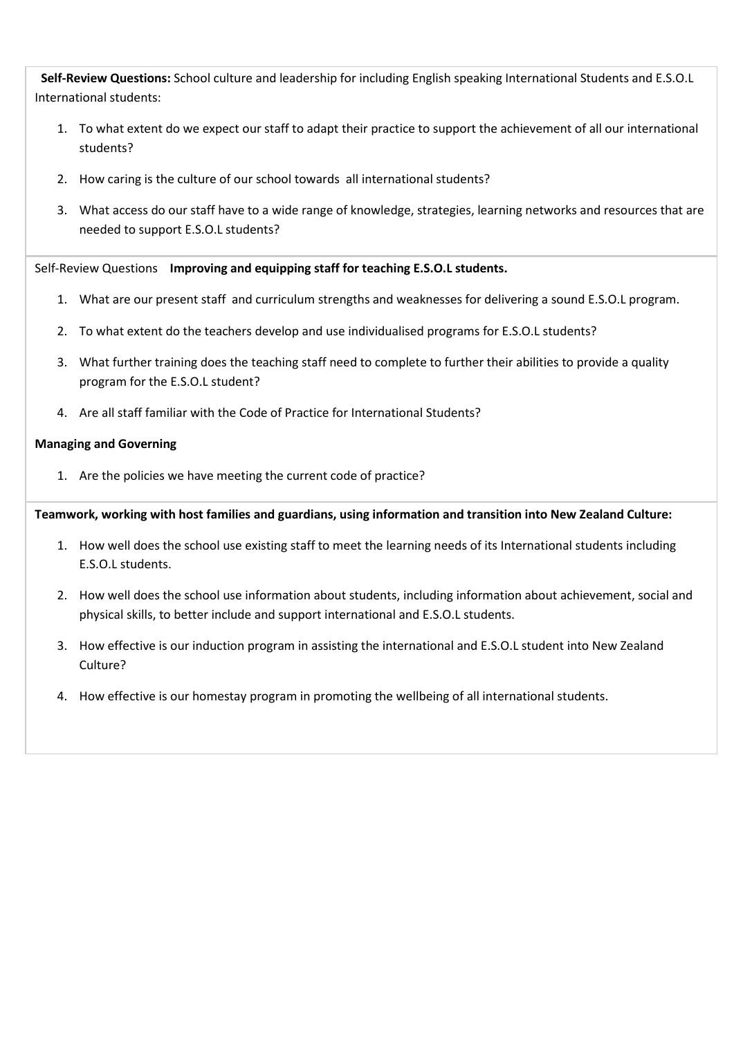**Self-Review Questions:** School culture and leadership for including English speaking International Students and E.S.O.L International students:

- 1. To what extent do we expect our staff to adapt their practice to support the achievement of all our international students?
- 2. How caring is the culture of our school towards all international students?
- 3. What access do our staff have to a wide range of knowledge, strategies, learning networks and resources that are needed to support E.S.O.L students?

Self-Review Questions **Improving and equipping staff for teaching E.S.O.L students.**

- 1. What are our present staff and curriculum strengths and weaknesses for delivering a sound E.S.O.L program.
- 2. To what extent do the teachers develop and use individualised programs for E.S.O.L students?
- 3. What further training does the teaching staff need to complete to further their abilities to provide a quality program for the E.S.O.L student?
- 4. Are all staff familiar with the Code of Practice for International Students?

### **Managing and Governing**

1. Are the policies we have meeting the current code of practice?

### **Teamwork, working with host families and guardians, using information and transition into New Zealand Culture:**

- 1. How well does the school use existing staff to meet the learning needs of its International students including E.S.O.L students.
- 2. How well does the school use information about students, including information about achievement, social and physical skills, to better include and support international and E.S.O.L students.
- 3. How effective is our induction program in assisting the international and E.S.O.L student into New Zealand Culture?
- 4. How effective is our homestay program in promoting the wellbeing of all international students.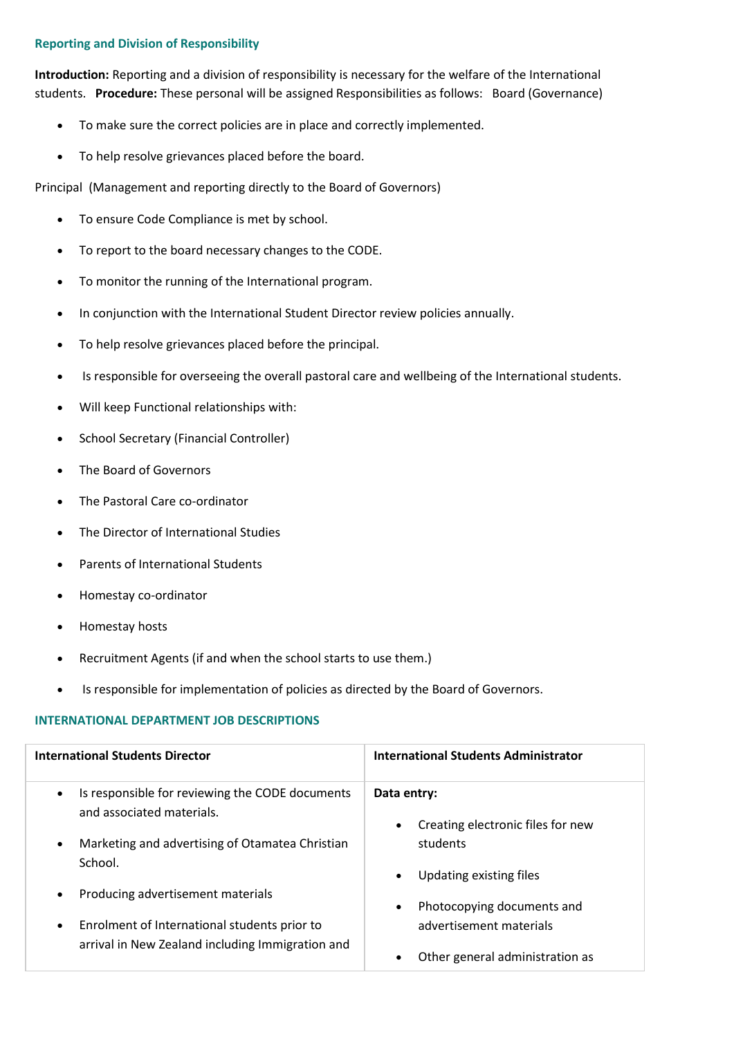### **Reporting and Division of Responsibility**

**Introduction:** Reporting and a division of responsibility is necessary for the welfare of the International students. **Procedure:** These personal will be assigned Responsibilities as follows: Board (Governance)

- To make sure the correct policies are in place and correctly implemented.
- To help resolve grievances placed before the board.

Principal (Management and reporting directly to the Board of Governors)

- To ensure Code Compliance is met by school.
- To report to the board necessary changes to the CODE.
- To monitor the running of the International program.
- In conjunction with the International Student Director review policies annually.
- To help resolve grievances placed before the principal.
- Is responsible for overseeing the overall pastoral care and wellbeing of the International students.
- Will keep Functional relationships with:
- School Secretary (Financial Controller)
- The Board of Governors
- The Pastoral Care co-ordinator
- The Director of International Studies
- Parents of International Students
- Homestay co-ordinator
- Homestay hosts
- Recruitment Agents (if and when the school starts to use them.)
- Is responsible for implementation of policies as directed by the Board of Governors.

# **INTERNATIONAL DEPARTMENT JOB DESCRIPTIONS**

| <b>International Students Director</b>                                                                | <b>International Students Administrator</b>                   |
|-------------------------------------------------------------------------------------------------------|---------------------------------------------------------------|
| Is responsible for reviewing the CODE documents<br>$\bullet$<br>and associated materials.             | Data entry:<br>Creating electronic files for new<br>$\bullet$ |
| Marketing and advertising of Otamatea Christian<br>$\bullet$<br>School.                               | students<br>Updating existing files                           |
| Producing advertisement materials<br>$\bullet$                                                        | Photocopying documents and                                    |
| Enrolment of International students prior to<br>٠<br>arrival in New Zealand including Immigration and | advertisement materials<br>Other general administration as    |